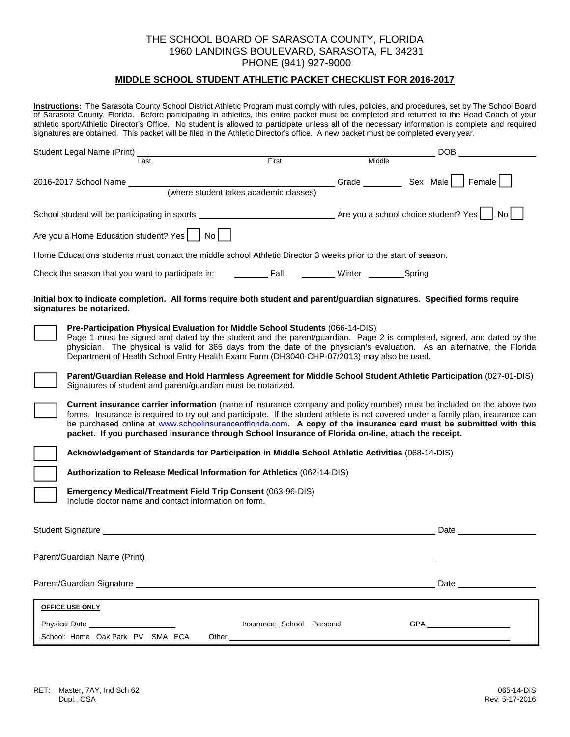### **MIDDLE SCHOOL STUDENT ATHLETIC PACKET CHECKLIST FOR 2016-2017**

**Instructions:** The Sarasota County School District Athletic Program must comply with rules, policies, and procedures, set by The School Board of Sarasota County, Florida. Before participating in athletics, this entire packet must be completed and returned to the Head Coach of your athletic sport/Athletic Director's Office. No student is allowed to participate unless all of the necessary information is complete and required signatures are obtained. This packet will be filed in the Athletic Director's office. A new packet must be completed every year.

| Student Legal Name (Print)                                                                                                                                                                                                                                                                                                                                                                                                                                                             |                                                             |                      | DOB  |
|----------------------------------------------------------------------------------------------------------------------------------------------------------------------------------------------------------------------------------------------------------------------------------------------------------------------------------------------------------------------------------------------------------------------------------------------------------------------------------------|-------------------------------------------------------------|----------------------|------|
| Last                                                                                                                                                                                                                                                                                                                                                                                                                                                                                   | First                                                       | Middle               |      |
| 2016-2017 School Name                                                                                                                                                                                                                                                                                                                                                                                                                                                                  | Sex Male   Female<br>(where student takes academic classes) |                      |      |
|                                                                                                                                                                                                                                                                                                                                                                                                                                                                                        |                                                             |                      | No l |
| Are you a Home Education student? Yes     No                                                                                                                                                                                                                                                                                                                                                                                                                                           |                                                             |                      |      |
| Home Educations students must contact the middle school Athletic Director 3 weeks prior to the start of season.                                                                                                                                                                                                                                                                                                                                                                        |                                                             |                      |      |
| Check the season that you want to participate in:                                                                                                                                                                                                                                                                                                                                                                                                                                      | <b>Example 1</b>                                            | <b>Winter</b> Spring |      |
| Initial box to indicate completion. All forms require both student and parent/guardian signatures. Specified forms require<br>signatures be notarized.                                                                                                                                                                                                                                                                                                                                 |                                                             |                      |      |
| Pre-Participation Physical Evaluation for Middle School Students (066-14-DIS)<br>Page 1 must be signed and dated by the student and the parent/guardian. Page 2 is completed, signed, and dated by the<br>physician. The physical is valid for 365 days from the date of the physician's evaluation. As an alternative, the Florida<br>Department of Health School Entry Health Exam Form (DH3040-CHP-07/2013) may also be used.                                                       |                                                             |                      |      |
| Parent/Guardian Release and Hold Harmless Agreement for Middle School Student Athletic Participation (027-01-DIS)<br>Signatures of student and parent/guardian must be notarized.                                                                                                                                                                                                                                                                                                      |                                                             |                      |      |
| Current insurance carrier information (name of insurance company and policy number) must be included on the above two<br>forms. Insurance is required to try out and participate. If the student athlete is not covered under a family plan, insurance can<br>be purchased online at www.schoolinsuranceofflorida.com. A copy of the insurance card must be submitted with this<br>packet. If you purchased insurance through School Insurance of Florida on-line, attach the receipt. |                                                             |                      |      |
| Acknowledgement of Standards for Participation in Middle School Athletic Activities (068-14-DIS)                                                                                                                                                                                                                                                                                                                                                                                       |                                                             |                      |      |
| Authorization to Release Medical Information for Athletics (062-14-DIS)                                                                                                                                                                                                                                                                                                                                                                                                                |                                                             |                      |      |
| Emergency Medical/Treatment Field Trip Consent (063-96-DIS)<br>Include doctor name and contact information on form.                                                                                                                                                                                                                                                                                                                                                                    |                                                             |                      |      |
| Student Signature Student Student                                                                                                                                                                                                                                                                                                                                                                                                                                                      |                                                             |                      | Date |
| Parent/Guardian Name (Print)                                                                                                                                                                                                                                                                                                                                                                                                                                                           |                                                             |                      |      |
|                                                                                                                                                                                                                                                                                                                                                                                                                                                                                        |                                                             |                      |      |
| <b>OFFICE USE ONLY</b>                                                                                                                                                                                                                                                                                                                                                                                                                                                                 |                                                             |                      |      |
| Physical Date ________________________                                                                                                                                                                                                                                                                                                                                                                                                                                                 | Insurance: School Personal                                  |                      |      |
| School: Home Oak Park PV SMA ECA                                                                                                                                                                                                                                                                                                                                                                                                                                                       | Other                                                       |                      |      |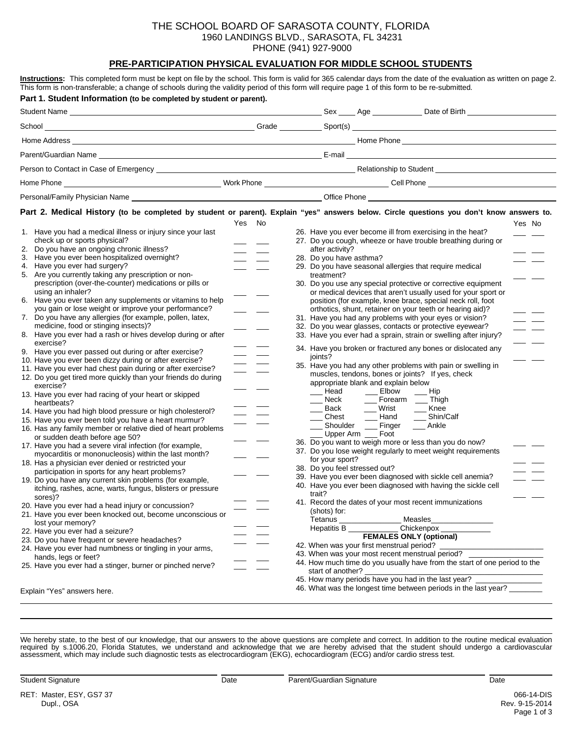### **PRE-PARTICIPATION PHYSICAL EVALUATION FOR MIDDLE SCHOOL STUDENTS**

| Part 1. Student Information (to be completed by student or parent).<br>Part 2. Medical History (to be completed by student or parent). Explain "yes" answers below. Circle questions you don't know answers to.<br>Yes No<br>Yes No<br>1. Have you had a medical illness or injury since your last<br>26. Have you ever become ill from exercising in the heat?<br>check up or sports physical?<br>27. Do you cough, wheeze or have trouble breathing during or<br>2. Do you have an ongoing chronic illness?<br>after activity?<br>3. Have you ever been hospitalized overnight?<br>28. Do you have asthma?<br>4. Have you ever had surgery?<br>29. Do you have seasonal allergies that require medical<br>treatment?<br>prescription (over-the-counter) medications or pills or<br>30. Do you use any special protective or corrective equipment<br>using an inhaler?<br>or medical devices that aren't usually used for your sport or<br>6. Have you ever taken any supplements or vitamins to help<br>position (for example, knee brace, special neck roll, foot<br>you gain or lose weight or improve your performance?<br>orthotics, shunt, retainer on your teeth or hearing aid)?<br>7. Do you have any allergies (for example, pollen, latex,<br>31. Have you had any problems with your eyes or vision?<br>medicine, food or stinging insects)?<br>32. Do you wear glasses, contacts or protective eyewear?<br>8. Have you ever had a rash or hives develop during or after<br>33. Have you ever had a sprain, strain or swelling after injury?<br>exercise?<br>34. Have you broken or fractured any bones or dislocated any<br>9. Have you ever passed out during or after exercise?<br>joints?<br>10. Have you ever been dizzy during or after exercise?<br>35. Have you had any other problems with pain or swelling in<br>11. Have you ever had chest pain during or after exercise?<br>muscles, tendons, bones or joints? If yes, check<br>12. Do you get tired more quickly than your friends do during<br>appropriate blank and explain below<br>exercise?<br>Elbow<br>$\_\_$ Head<br>$\frac{1}{1}$<br>$\equiv$ Hip<br>__ Forearm __ Thigh<br>___ Neck<br>heartbeats?<br>Back<br>___ Wrist<br>$\overline{\phantom{a}}$ Knee<br>14. Have you had high blood pressure or high cholesterol?<br>Chest<br>$\_\_\$ Hand<br>__ Shin/Calf<br>15. Have you ever been told you have a heart murmur?<br>____ Shoulder ___<br>Finger<br>__ Ankle<br>16. Has any family member or relative died of heart problems<br>___ Upper Arm ___ Foot<br>or sudden death before age 50?<br>36. Do you want to weigh more or less than you do now?<br>17. Have you had a severe viral infection (for example,<br>37. Do you lose weight regularly to meet weight requirements<br>myocarditis or mononucleosis) within the last month?<br>for your sport?<br>18. Has a physician ever denied or restricted your<br>38. Do you feel stressed out?<br>participation in sports for any heart problems?<br>39. Have you ever been diagnosed with sickle cell anemia?<br>19. Do you have any current skin problems (for example,<br>40. Have you ever been diagnosed with having the sickle cell<br>itching, rashes, acne, warts, fungus, blisters or pressure<br>trait?<br>sores)?<br>41. Record the dates of your most recent immunizations<br>20. Have you ever had a head injury or concussion?<br>(shots) for:<br>21. Have you ever been knocked out, become unconscious or<br><b>Example 2016</b> Measles<br>Tetanus _____<br>lost your memory?<br>Chickenpox _____________<br>Hepatitis B<br>22. Have you ever had a seizure?<br><b>FEMALES ONLY (optional)</b><br>23. Do you have frequent or severe headaches?<br>24. Have you ever had numbness or tingling in your arms,<br>43. When was your most recent menstrual period? ___________<br>hands, legs or feet?<br>44. How much time do you usually have from the start of one period to the<br>start of another?<br>45. How many periods have you had in the last year?<br>46. What was the longest time between periods in the last year? | Instructions: This completed form must be kept on file by the school. This form is valid for 365 calendar days from the date of the evaluation as written on page 2.<br>This form is non-transferable; a change of schools during the validity period of this form will require page 1 of this form to be re-submitted. |  |  |  |  |  |  |
|-------------------------------------------------------------------------------------------------------------------------------------------------------------------------------------------------------------------------------------------------------------------------------------------------------------------------------------------------------------------------------------------------------------------------------------------------------------------------------------------------------------------------------------------------------------------------------------------------------------------------------------------------------------------------------------------------------------------------------------------------------------------------------------------------------------------------------------------------------------------------------------------------------------------------------------------------------------------------------------------------------------------------------------------------------------------------------------------------------------------------------------------------------------------------------------------------------------------------------------------------------------------------------------------------------------------------------------------------------------------------------------------------------------------------------------------------------------------------------------------------------------------------------------------------------------------------------------------------------------------------------------------------------------------------------------------------------------------------------------------------------------------------------------------------------------------------------------------------------------------------------------------------------------------------------------------------------------------------------------------------------------------------------------------------------------------------------------------------------------------------------------------------------------------------------------------------------------------------------------------------------------------------------------------------------------------------------------------------------------------------------------------------------------------------------------------------------------------------------------------------------------------------------------------------------------------------------------------------------------------------------------------------------------------------------------------------------------------------------------------------------------------------------------------------------------------------------------------------------------------------------------------------------------------------------------------------------------------------------------------------------------------------------------------------------------------------------------------------------------------------------------------------------------------------------------------------------------------------------------------------------------------------------------------------------------------------------------------------------------------------------------------------------------------------------------------------------------------------------------------------------------------------------------------------------------------------------------------------------------------------------------------------------------------------------------------------------------------------------------------------------------------------------------------------------------------------------------------------------------------------------------------------------------------------------------------------------------------------------------------------------------------------------------------------------------------------------------------|-------------------------------------------------------------------------------------------------------------------------------------------------------------------------------------------------------------------------------------------------------------------------------------------------------------------------|--|--|--|--|--|--|
|                                                                                                                                                                                                                                                                                                                                                                                                                                                                                                                                                                                                                                                                                                                                                                                                                                                                                                                                                                                                                                                                                                                                                                                                                                                                                                                                                                                                                                                                                                                                                                                                                                                                                                                                                                                                                                                                                                                                                                                                                                                                                                                                                                                                                                                                                                                                                                                                                                                                                                                                                                                                                                                                                                                                                                                                                                                                                                                                                                                                                                                                                                                                                                                                                                                                                                                                                                                                                                                                                                                                                                                                                                                                                                                                                                                                                                                                                                                                                                                                                                                                                           |                                                                                                                                                                                                                                                                                                                         |  |  |  |  |  |  |
|                                                                                                                                                                                                                                                                                                                                                                                                                                                                                                                                                                                                                                                                                                                                                                                                                                                                                                                                                                                                                                                                                                                                                                                                                                                                                                                                                                                                                                                                                                                                                                                                                                                                                                                                                                                                                                                                                                                                                                                                                                                                                                                                                                                                                                                                                                                                                                                                                                                                                                                                                                                                                                                                                                                                                                                                                                                                                                                                                                                                                                                                                                                                                                                                                                                                                                                                                                                                                                                                                                                                                                                                                                                                                                                                                                                                                                                                                                                                                                                                                                                                                           |                                                                                                                                                                                                                                                                                                                         |  |  |  |  |  |  |
|                                                                                                                                                                                                                                                                                                                                                                                                                                                                                                                                                                                                                                                                                                                                                                                                                                                                                                                                                                                                                                                                                                                                                                                                                                                                                                                                                                                                                                                                                                                                                                                                                                                                                                                                                                                                                                                                                                                                                                                                                                                                                                                                                                                                                                                                                                                                                                                                                                                                                                                                                                                                                                                                                                                                                                                                                                                                                                                                                                                                                                                                                                                                                                                                                                                                                                                                                                                                                                                                                                                                                                                                                                                                                                                                                                                                                                                                                                                                                                                                                                                                                           |                                                                                                                                                                                                                                                                                                                         |  |  |  |  |  |  |
|                                                                                                                                                                                                                                                                                                                                                                                                                                                                                                                                                                                                                                                                                                                                                                                                                                                                                                                                                                                                                                                                                                                                                                                                                                                                                                                                                                                                                                                                                                                                                                                                                                                                                                                                                                                                                                                                                                                                                                                                                                                                                                                                                                                                                                                                                                                                                                                                                                                                                                                                                                                                                                                                                                                                                                                                                                                                                                                                                                                                                                                                                                                                                                                                                                                                                                                                                                                                                                                                                                                                                                                                                                                                                                                                                                                                                                                                                                                                                                                                                                                                                           |                                                                                                                                                                                                                                                                                                                         |  |  |  |  |  |  |
|                                                                                                                                                                                                                                                                                                                                                                                                                                                                                                                                                                                                                                                                                                                                                                                                                                                                                                                                                                                                                                                                                                                                                                                                                                                                                                                                                                                                                                                                                                                                                                                                                                                                                                                                                                                                                                                                                                                                                                                                                                                                                                                                                                                                                                                                                                                                                                                                                                                                                                                                                                                                                                                                                                                                                                                                                                                                                                                                                                                                                                                                                                                                                                                                                                                                                                                                                                                                                                                                                                                                                                                                                                                                                                                                                                                                                                                                                                                                                                                                                                                                                           |                                                                                                                                                                                                                                                                                                                         |  |  |  |  |  |  |
|                                                                                                                                                                                                                                                                                                                                                                                                                                                                                                                                                                                                                                                                                                                                                                                                                                                                                                                                                                                                                                                                                                                                                                                                                                                                                                                                                                                                                                                                                                                                                                                                                                                                                                                                                                                                                                                                                                                                                                                                                                                                                                                                                                                                                                                                                                                                                                                                                                                                                                                                                                                                                                                                                                                                                                                                                                                                                                                                                                                                                                                                                                                                                                                                                                                                                                                                                                                                                                                                                                                                                                                                                                                                                                                                                                                                                                                                                                                                                                                                                                                                                           |                                                                                                                                                                                                                                                                                                                         |  |  |  |  |  |  |
|                                                                                                                                                                                                                                                                                                                                                                                                                                                                                                                                                                                                                                                                                                                                                                                                                                                                                                                                                                                                                                                                                                                                                                                                                                                                                                                                                                                                                                                                                                                                                                                                                                                                                                                                                                                                                                                                                                                                                                                                                                                                                                                                                                                                                                                                                                                                                                                                                                                                                                                                                                                                                                                                                                                                                                                                                                                                                                                                                                                                                                                                                                                                                                                                                                                                                                                                                                                                                                                                                                                                                                                                                                                                                                                                                                                                                                                                                                                                                                                                                                                                                           |                                                                                                                                                                                                                                                                                                                         |  |  |  |  |  |  |
|                                                                                                                                                                                                                                                                                                                                                                                                                                                                                                                                                                                                                                                                                                                                                                                                                                                                                                                                                                                                                                                                                                                                                                                                                                                                                                                                                                                                                                                                                                                                                                                                                                                                                                                                                                                                                                                                                                                                                                                                                                                                                                                                                                                                                                                                                                                                                                                                                                                                                                                                                                                                                                                                                                                                                                                                                                                                                                                                                                                                                                                                                                                                                                                                                                                                                                                                                                                                                                                                                                                                                                                                                                                                                                                                                                                                                                                                                                                                                                                                                                                                                           |                                                                                                                                                                                                                                                                                                                         |  |  |  |  |  |  |
|                                                                                                                                                                                                                                                                                                                                                                                                                                                                                                                                                                                                                                                                                                                                                                                                                                                                                                                                                                                                                                                                                                                                                                                                                                                                                                                                                                                                                                                                                                                                                                                                                                                                                                                                                                                                                                                                                                                                                                                                                                                                                                                                                                                                                                                                                                                                                                                                                                                                                                                                                                                                                                                                                                                                                                                                                                                                                                                                                                                                                                                                                                                                                                                                                                                                                                                                                                                                                                                                                                                                                                                                                                                                                                                                                                                                                                                                                                                                                                                                                                                                                           |                                                                                                                                                                                                                                                                                                                         |  |  |  |  |  |  |
|                                                                                                                                                                                                                                                                                                                                                                                                                                                                                                                                                                                                                                                                                                                                                                                                                                                                                                                                                                                                                                                                                                                                                                                                                                                                                                                                                                                                                                                                                                                                                                                                                                                                                                                                                                                                                                                                                                                                                                                                                                                                                                                                                                                                                                                                                                                                                                                                                                                                                                                                                                                                                                                                                                                                                                                                                                                                                                                                                                                                                                                                                                                                                                                                                                                                                                                                                                                                                                                                                                                                                                                                                                                                                                                                                                                                                                                                                                                                                                                                                                                                                           |                                                                                                                                                                                                                                                                                                                         |  |  |  |  |  |  |
|                                                                                                                                                                                                                                                                                                                                                                                                                                                                                                                                                                                                                                                                                                                                                                                                                                                                                                                                                                                                                                                                                                                                                                                                                                                                                                                                                                                                                                                                                                                                                                                                                                                                                                                                                                                                                                                                                                                                                                                                                                                                                                                                                                                                                                                                                                                                                                                                                                                                                                                                                                                                                                                                                                                                                                                                                                                                                                                                                                                                                                                                                                                                                                                                                                                                                                                                                                                                                                                                                                                                                                                                                                                                                                                                                                                                                                                                                                                                                                                                                                                                                           |                                                                                                                                                                                                                                                                                                                         |  |  |  |  |  |  |
|                                                                                                                                                                                                                                                                                                                                                                                                                                                                                                                                                                                                                                                                                                                                                                                                                                                                                                                                                                                                                                                                                                                                                                                                                                                                                                                                                                                                                                                                                                                                                                                                                                                                                                                                                                                                                                                                                                                                                                                                                                                                                                                                                                                                                                                                                                                                                                                                                                                                                                                                                                                                                                                                                                                                                                                                                                                                                                                                                                                                                                                                                                                                                                                                                                                                                                                                                                                                                                                                                                                                                                                                                                                                                                                                                                                                                                                                                                                                                                                                                                                                                           |                                                                                                                                                                                                                                                                                                                         |  |  |  |  |  |  |
|                                                                                                                                                                                                                                                                                                                                                                                                                                                                                                                                                                                                                                                                                                                                                                                                                                                                                                                                                                                                                                                                                                                                                                                                                                                                                                                                                                                                                                                                                                                                                                                                                                                                                                                                                                                                                                                                                                                                                                                                                                                                                                                                                                                                                                                                                                                                                                                                                                                                                                                                                                                                                                                                                                                                                                                                                                                                                                                                                                                                                                                                                                                                                                                                                                                                                                                                                                                                                                                                                                                                                                                                                                                                                                                                                                                                                                                                                                                                                                                                                                                                                           |                                                                                                                                                                                                                                                                                                                         |  |  |  |  |  |  |
|                                                                                                                                                                                                                                                                                                                                                                                                                                                                                                                                                                                                                                                                                                                                                                                                                                                                                                                                                                                                                                                                                                                                                                                                                                                                                                                                                                                                                                                                                                                                                                                                                                                                                                                                                                                                                                                                                                                                                                                                                                                                                                                                                                                                                                                                                                                                                                                                                                                                                                                                                                                                                                                                                                                                                                                                                                                                                                                                                                                                                                                                                                                                                                                                                                                                                                                                                                                                                                                                                                                                                                                                                                                                                                                                                                                                                                                                                                                                                                                                                                                                                           |                                                                                                                                                                                                                                                                                                                         |  |  |  |  |  |  |
|                                                                                                                                                                                                                                                                                                                                                                                                                                                                                                                                                                                                                                                                                                                                                                                                                                                                                                                                                                                                                                                                                                                                                                                                                                                                                                                                                                                                                                                                                                                                                                                                                                                                                                                                                                                                                                                                                                                                                                                                                                                                                                                                                                                                                                                                                                                                                                                                                                                                                                                                                                                                                                                                                                                                                                                                                                                                                                                                                                                                                                                                                                                                                                                                                                                                                                                                                                                                                                                                                                                                                                                                                                                                                                                                                                                                                                                                                                                                                                                                                                                                                           | 5. Are you currently taking any prescription or non-                                                                                                                                                                                                                                                                    |  |  |  |  |  |  |
|                                                                                                                                                                                                                                                                                                                                                                                                                                                                                                                                                                                                                                                                                                                                                                                                                                                                                                                                                                                                                                                                                                                                                                                                                                                                                                                                                                                                                                                                                                                                                                                                                                                                                                                                                                                                                                                                                                                                                                                                                                                                                                                                                                                                                                                                                                                                                                                                                                                                                                                                                                                                                                                                                                                                                                                                                                                                                                                                                                                                                                                                                                                                                                                                                                                                                                                                                                                                                                                                                                                                                                                                                                                                                                                                                                                                                                                                                                                                                                                                                                                                                           |                                                                                                                                                                                                                                                                                                                         |  |  |  |  |  |  |
|                                                                                                                                                                                                                                                                                                                                                                                                                                                                                                                                                                                                                                                                                                                                                                                                                                                                                                                                                                                                                                                                                                                                                                                                                                                                                                                                                                                                                                                                                                                                                                                                                                                                                                                                                                                                                                                                                                                                                                                                                                                                                                                                                                                                                                                                                                                                                                                                                                                                                                                                                                                                                                                                                                                                                                                                                                                                                                                                                                                                                                                                                                                                                                                                                                                                                                                                                                                                                                                                                                                                                                                                                                                                                                                                                                                                                                                                                                                                                                                                                                                                                           |                                                                                                                                                                                                                                                                                                                         |  |  |  |  |  |  |
|                                                                                                                                                                                                                                                                                                                                                                                                                                                                                                                                                                                                                                                                                                                                                                                                                                                                                                                                                                                                                                                                                                                                                                                                                                                                                                                                                                                                                                                                                                                                                                                                                                                                                                                                                                                                                                                                                                                                                                                                                                                                                                                                                                                                                                                                                                                                                                                                                                                                                                                                                                                                                                                                                                                                                                                                                                                                                                                                                                                                                                                                                                                                                                                                                                                                                                                                                                                                                                                                                                                                                                                                                                                                                                                                                                                                                                                                                                                                                                                                                                                                                           |                                                                                                                                                                                                                                                                                                                         |  |  |  |  |  |  |
|                                                                                                                                                                                                                                                                                                                                                                                                                                                                                                                                                                                                                                                                                                                                                                                                                                                                                                                                                                                                                                                                                                                                                                                                                                                                                                                                                                                                                                                                                                                                                                                                                                                                                                                                                                                                                                                                                                                                                                                                                                                                                                                                                                                                                                                                                                                                                                                                                                                                                                                                                                                                                                                                                                                                                                                                                                                                                                                                                                                                                                                                                                                                                                                                                                                                                                                                                                                                                                                                                                                                                                                                                                                                                                                                                                                                                                                                                                                                                                                                                                                                                           |                                                                                                                                                                                                                                                                                                                         |  |  |  |  |  |  |
|                                                                                                                                                                                                                                                                                                                                                                                                                                                                                                                                                                                                                                                                                                                                                                                                                                                                                                                                                                                                                                                                                                                                                                                                                                                                                                                                                                                                                                                                                                                                                                                                                                                                                                                                                                                                                                                                                                                                                                                                                                                                                                                                                                                                                                                                                                                                                                                                                                                                                                                                                                                                                                                                                                                                                                                                                                                                                                                                                                                                                                                                                                                                                                                                                                                                                                                                                                                                                                                                                                                                                                                                                                                                                                                                                                                                                                                                                                                                                                                                                                                                                           |                                                                                                                                                                                                                                                                                                                         |  |  |  |  |  |  |
|                                                                                                                                                                                                                                                                                                                                                                                                                                                                                                                                                                                                                                                                                                                                                                                                                                                                                                                                                                                                                                                                                                                                                                                                                                                                                                                                                                                                                                                                                                                                                                                                                                                                                                                                                                                                                                                                                                                                                                                                                                                                                                                                                                                                                                                                                                                                                                                                                                                                                                                                                                                                                                                                                                                                                                                                                                                                                                                                                                                                                                                                                                                                                                                                                                                                                                                                                                                                                                                                                                                                                                                                                                                                                                                                                                                                                                                                                                                                                                                                                                                                                           |                                                                                                                                                                                                                                                                                                                         |  |  |  |  |  |  |
|                                                                                                                                                                                                                                                                                                                                                                                                                                                                                                                                                                                                                                                                                                                                                                                                                                                                                                                                                                                                                                                                                                                                                                                                                                                                                                                                                                                                                                                                                                                                                                                                                                                                                                                                                                                                                                                                                                                                                                                                                                                                                                                                                                                                                                                                                                                                                                                                                                                                                                                                                                                                                                                                                                                                                                                                                                                                                                                                                                                                                                                                                                                                                                                                                                                                                                                                                                                                                                                                                                                                                                                                                                                                                                                                                                                                                                                                                                                                                                                                                                                                                           |                                                                                                                                                                                                                                                                                                                         |  |  |  |  |  |  |
|                                                                                                                                                                                                                                                                                                                                                                                                                                                                                                                                                                                                                                                                                                                                                                                                                                                                                                                                                                                                                                                                                                                                                                                                                                                                                                                                                                                                                                                                                                                                                                                                                                                                                                                                                                                                                                                                                                                                                                                                                                                                                                                                                                                                                                                                                                                                                                                                                                                                                                                                                                                                                                                                                                                                                                                                                                                                                                                                                                                                                                                                                                                                                                                                                                                                                                                                                                                                                                                                                                                                                                                                                                                                                                                                                                                                                                                                                                                                                                                                                                                                                           |                                                                                                                                                                                                                                                                                                                         |  |  |  |  |  |  |
|                                                                                                                                                                                                                                                                                                                                                                                                                                                                                                                                                                                                                                                                                                                                                                                                                                                                                                                                                                                                                                                                                                                                                                                                                                                                                                                                                                                                                                                                                                                                                                                                                                                                                                                                                                                                                                                                                                                                                                                                                                                                                                                                                                                                                                                                                                                                                                                                                                                                                                                                                                                                                                                                                                                                                                                                                                                                                                                                                                                                                                                                                                                                                                                                                                                                                                                                                                                                                                                                                                                                                                                                                                                                                                                                                                                                                                                                                                                                                                                                                                                                                           |                                                                                                                                                                                                                                                                                                                         |  |  |  |  |  |  |
|                                                                                                                                                                                                                                                                                                                                                                                                                                                                                                                                                                                                                                                                                                                                                                                                                                                                                                                                                                                                                                                                                                                                                                                                                                                                                                                                                                                                                                                                                                                                                                                                                                                                                                                                                                                                                                                                                                                                                                                                                                                                                                                                                                                                                                                                                                                                                                                                                                                                                                                                                                                                                                                                                                                                                                                                                                                                                                                                                                                                                                                                                                                                                                                                                                                                                                                                                                                                                                                                                                                                                                                                                                                                                                                                                                                                                                                                                                                                                                                                                                                                                           |                                                                                                                                                                                                                                                                                                                         |  |  |  |  |  |  |
|                                                                                                                                                                                                                                                                                                                                                                                                                                                                                                                                                                                                                                                                                                                                                                                                                                                                                                                                                                                                                                                                                                                                                                                                                                                                                                                                                                                                                                                                                                                                                                                                                                                                                                                                                                                                                                                                                                                                                                                                                                                                                                                                                                                                                                                                                                                                                                                                                                                                                                                                                                                                                                                                                                                                                                                                                                                                                                                                                                                                                                                                                                                                                                                                                                                                                                                                                                                                                                                                                                                                                                                                                                                                                                                                                                                                                                                                                                                                                                                                                                                                                           |                                                                                                                                                                                                                                                                                                                         |  |  |  |  |  |  |
|                                                                                                                                                                                                                                                                                                                                                                                                                                                                                                                                                                                                                                                                                                                                                                                                                                                                                                                                                                                                                                                                                                                                                                                                                                                                                                                                                                                                                                                                                                                                                                                                                                                                                                                                                                                                                                                                                                                                                                                                                                                                                                                                                                                                                                                                                                                                                                                                                                                                                                                                                                                                                                                                                                                                                                                                                                                                                                                                                                                                                                                                                                                                                                                                                                                                                                                                                                                                                                                                                                                                                                                                                                                                                                                                                                                                                                                                                                                                                                                                                                                                                           |                                                                                                                                                                                                                                                                                                                         |  |  |  |  |  |  |
|                                                                                                                                                                                                                                                                                                                                                                                                                                                                                                                                                                                                                                                                                                                                                                                                                                                                                                                                                                                                                                                                                                                                                                                                                                                                                                                                                                                                                                                                                                                                                                                                                                                                                                                                                                                                                                                                                                                                                                                                                                                                                                                                                                                                                                                                                                                                                                                                                                                                                                                                                                                                                                                                                                                                                                                                                                                                                                                                                                                                                                                                                                                                                                                                                                                                                                                                                                                                                                                                                                                                                                                                                                                                                                                                                                                                                                                                                                                                                                                                                                                                                           | 13. Have you ever had racing of your heart or skipped                                                                                                                                                                                                                                                                   |  |  |  |  |  |  |
|                                                                                                                                                                                                                                                                                                                                                                                                                                                                                                                                                                                                                                                                                                                                                                                                                                                                                                                                                                                                                                                                                                                                                                                                                                                                                                                                                                                                                                                                                                                                                                                                                                                                                                                                                                                                                                                                                                                                                                                                                                                                                                                                                                                                                                                                                                                                                                                                                                                                                                                                                                                                                                                                                                                                                                                                                                                                                                                                                                                                                                                                                                                                                                                                                                                                                                                                                                                                                                                                                                                                                                                                                                                                                                                                                                                                                                                                                                                                                                                                                                                                                           |                                                                                                                                                                                                                                                                                                                         |  |  |  |  |  |  |
|                                                                                                                                                                                                                                                                                                                                                                                                                                                                                                                                                                                                                                                                                                                                                                                                                                                                                                                                                                                                                                                                                                                                                                                                                                                                                                                                                                                                                                                                                                                                                                                                                                                                                                                                                                                                                                                                                                                                                                                                                                                                                                                                                                                                                                                                                                                                                                                                                                                                                                                                                                                                                                                                                                                                                                                                                                                                                                                                                                                                                                                                                                                                                                                                                                                                                                                                                                                                                                                                                                                                                                                                                                                                                                                                                                                                                                                                                                                                                                                                                                                                                           |                                                                                                                                                                                                                                                                                                                         |  |  |  |  |  |  |
|                                                                                                                                                                                                                                                                                                                                                                                                                                                                                                                                                                                                                                                                                                                                                                                                                                                                                                                                                                                                                                                                                                                                                                                                                                                                                                                                                                                                                                                                                                                                                                                                                                                                                                                                                                                                                                                                                                                                                                                                                                                                                                                                                                                                                                                                                                                                                                                                                                                                                                                                                                                                                                                                                                                                                                                                                                                                                                                                                                                                                                                                                                                                                                                                                                                                                                                                                                                                                                                                                                                                                                                                                                                                                                                                                                                                                                                                                                                                                                                                                                                                                           |                                                                                                                                                                                                                                                                                                                         |  |  |  |  |  |  |
|                                                                                                                                                                                                                                                                                                                                                                                                                                                                                                                                                                                                                                                                                                                                                                                                                                                                                                                                                                                                                                                                                                                                                                                                                                                                                                                                                                                                                                                                                                                                                                                                                                                                                                                                                                                                                                                                                                                                                                                                                                                                                                                                                                                                                                                                                                                                                                                                                                                                                                                                                                                                                                                                                                                                                                                                                                                                                                                                                                                                                                                                                                                                                                                                                                                                                                                                                                                                                                                                                                                                                                                                                                                                                                                                                                                                                                                                                                                                                                                                                                                                                           |                                                                                                                                                                                                                                                                                                                         |  |  |  |  |  |  |
|                                                                                                                                                                                                                                                                                                                                                                                                                                                                                                                                                                                                                                                                                                                                                                                                                                                                                                                                                                                                                                                                                                                                                                                                                                                                                                                                                                                                                                                                                                                                                                                                                                                                                                                                                                                                                                                                                                                                                                                                                                                                                                                                                                                                                                                                                                                                                                                                                                                                                                                                                                                                                                                                                                                                                                                                                                                                                                                                                                                                                                                                                                                                                                                                                                                                                                                                                                                                                                                                                                                                                                                                                                                                                                                                                                                                                                                                                                                                                                                                                                                                                           |                                                                                                                                                                                                                                                                                                                         |  |  |  |  |  |  |
|                                                                                                                                                                                                                                                                                                                                                                                                                                                                                                                                                                                                                                                                                                                                                                                                                                                                                                                                                                                                                                                                                                                                                                                                                                                                                                                                                                                                                                                                                                                                                                                                                                                                                                                                                                                                                                                                                                                                                                                                                                                                                                                                                                                                                                                                                                                                                                                                                                                                                                                                                                                                                                                                                                                                                                                                                                                                                                                                                                                                                                                                                                                                                                                                                                                                                                                                                                                                                                                                                                                                                                                                                                                                                                                                                                                                                                                                                                                                                                                                                                                                                           |                                                                                                                                                                                                                                                                                                                         |  |  |  |  |  |  |
|                                                                                                                                                                                                                                                                                                                                                                                                                                                                                                                                                                                                                                                                                                                                                                                                                                                                                                                                                                                                                                                                                                                                                                                                                                                                                                                                                                                                                                                                                                                                                                                                                                                                                                                                                                                                                                                                                                                                                                                                                                                                                                                                                                                                                                                                                                                                                                                                                                                                                                                                                                                                                                                                                                                                                                                                                                                                                                                                                                                                                                                                                                                                                                                                                                                                                                                                                                                                                                                                                                                                                                                                                                                                                                                                                                                                                                                                                                                                                                                                                                                                                           |                                                                                                                                                                                                                                                                                                                         |  |  |  |  |  |  |
|                                                                                                                                                                                                                                                                                                                                                                                                                                                                                                                                                                                                                                                                                                                                                                                                                                                                                                                                                                                                                                                                                                                                                                                                                                                                                                                                                                                                                                                                                                                                                                                                                                                                                                                                                                                                                                                                                                                                                                                                                                                                                                                                                                                                                                                                                                                                                                                                                                                                                                                                                                                                                                                                                                                                                                                                                                                                                                                                                                                                                                                                                                                                                                                                                                                                                                                                                                                                                                                                                                                                                                                                                                                                                                                                                                                                                                                                                                                                                                                                                                                                                           |                                                                                                                                                                                                                                                                                                                         |  |  |  |  |  |  |
|                                                                                                                                                                                                                                                                                                                                                                                                                                                                                                                                                                                                                                                                                                                                                                                                                                                                                                                                                                                                                                                                                                                                                                                                                                                                                                                                                                                                                                                                                                                                                                                                                                                                                                                                                                                                                                                                                                                                                                                                                                                                                                                                                                                                                                                                                                                                                                                                                                                                                                                                                                                                                                                                                                                                                                                                                                                                                                                                                                                                                                                                                                                                                                                                                                                                                                                                                                                                                                                                                                                                                                                                                                                                                                                                                                                                                                                                                                                                                                                                                                                                                           |                                                                                                                                                                                                                                                                                                                         |  |  |  |  |  |  |
|                                                                                                                                                                                                                                                                                                                                                                                                                                                                                                                                                                                                                                                                                                                                                                                                                                                                                                                                                                                                                                                                                                                                                                                                                                                                                                                                                                                                                                                                                                                                                                                                                                                                                                                                                                                                                                                                                                                                                                                                                                                                                                                                                                                                                                                                                                                                                                                                                                                                                                                                                                                                                                                                                                                                                                                                                                                                                                                                                                                                                                                                                                                                                                                                                                                                                                                                                                                                                                                                                                                                                                                                                                                                                                                                                                                                                                                                                                                                                                                                                                                                                           |                                                                                                                                                                                                                                                                                                                         |  |  |  |  |  |  |
|                                                                                                                                                                                                                                                                                                                                                                                                                                                                                                                                                                                                                                                                                                                                                                                                                                                                                                                                                                                                                                                                                                                                                                                                                                                                                                                                                                                                                                                                                                                                                                                                                                                                                                                                                                                                                                                                                                                                                                                                                                                                                                                                                                                                                                                                                                                                                                                                                                                                                                                                                                                                                                                                                                                                                                                                                                                                                                                                                                                                                                                                                                                                                                                                                                                                                                                                                                                                                                                                                                                                                                                                                                                                                                                                                                                                                                                                                                                                                                                                                                                                                           |                                                                                                                                                                                                                                                                                                                         |  |  |  |  |  |  |
|                                                                                                                                                                                                                                                                                                                                                                                                                                                                                                                                                                                                                                                                                                                                                                                                                                                                                                                                                                                                                                                                                                                                                                                                                                                                                                                                                                                                                                                                                                                                                                                                                                                                                                                                                                                                                                                                                                                                                                                                                                                                                                                                                                                                                                                                                                                                                                                                                                                                                                                                                                                                                                                                                                                                                                                                                                                                                                                                                                                                                                                                                                                                                                                                                                                                                                                                                                                                                                                                                                                                                                                                                                                                                                                                                                                                                                                                                                                                                                                                                                                                                           |                                                                                                                                                                                                                                                                                                                         |  |  |  |  |  |  |
|                                                                                                                                                                                                                                                                                                                                                                                                                                                                                                                                                                                                                                                                                                                                                                                                                                                                                                                                                                                                                                                                                                                                                                                                                                                                                                                                                                                                                                                                                                                                                                                                                                                                                                                                                                                                                                                                                                                                                                                                                                                                                                                                                                                                                                                                                                                                                                                                                                                                                                                                                                                                                                                                                                                                                                                                                                                                                                                                                                                                                                                                                                                                                                                                                                                                                                                                                                                                                                                                                                                                                                                                                                                                                                                                                                                                                                                                                                                                                                                                                                                                                           |                                                                                                                                                                                                                                                                                                                         |  |  |  |  |  |  |
|                                                                                                                                                                                                                                                                                                                                                                                                                                                                                                                                                                                                                                                                                                                                                                                                                                                                                                                                                                                                                                                                                                                                                                                                                                                                                                                                                                                                                                                                                                                                                                                                                                                                                                                                                                                                                                                                                                                                                                                                                                                                                                                                                                                                                                                                                                                                                                                                                                                                                                                                                                                                                                                                                                                                                                                                                                                                                                                                                                                                                                                                                                                                                                                                                                                                                                                                                                                                                                                                                                                                                                                                                                                                                                                                                                                                                                                                                                                                                                                                                                                                                           |                                                                                                                                                                                                                                                                                                                         |  |  |  |  |  |  |
|                                                                                                                                                                                                                                                                                                                                                                                                                                                                                                                                                                                                                                                                                                                                                                                                                                                                                                                                                                                                                                                                                                                                                                                                                                                                                                                                                                                                                                                                                                                                                                                                                                                                                                                                                                                                                                                                                                                                                                                                                                                                                                                                                                                                                                                                                                                                                                                                                                                                                                                                                                                                                                                                                                                                                                                                                                                                                                                                                                                                                                                                                                                                                                                                                                                                                                                                                                                                                                                                                                                                                                                                                                                                                                                                                                                                                                                                                                                                                                                                                                                                                           |                                                                                                                                                                                                                                                                                                                         |  |  |  |  |  |  |
|                                                                                                                                                                                                                                                                                                                                                                                                                                                                                                                                                                                                                                                                                                                                                                                                                                                                                                                                                                                                                                                                                                                                                                                                                                                                                                                                                                                                                                                                                                                                                                                                                                                                                                                                                                                                                                                                                                                                                                                                                                                                                                                                                                                                                                                                                                                                                                                                                                                                                                                                                                                                                                                                                                                                                                                                                                                                                                                                                                                                                                                                                                                                                                                                                                                                                                                                                                                                                                                                                                                                                                                                                                                                                                                                                                                                                                                                                                                                                                                                                                                                                           |                                                                                                                                                                                                                                                                                                                         |  |  |  |  |  |  |
|                                                                                                                                                                                                                                                                                                                                                                                                                                                                                                                                                                                                                                                                                                                                                                                                                                                                                                                                                                                                                                                                                                                                                                                                                                                                                                                                                                                                                                                                                                                                                                                                                                                                                                                                                                                                                                                                                                                                                                                                                                                                                                                                                                                                                                                                                                                                                                                                                                                                                                                                                                                                                                                                                                                                                                                                                                                                                                                                                                                                                                                                                                                                                                                                                                                                                                                                                                                                                                                                                                                                                                                                                                                                                                                                                                                                                                                                                                                                                                                                                                                                                           |                                                                                                                                                                                                                                                                                                                         |  |  |  |  |  |  |
|                                                                                                                                                                                                                                                                                                                                                                                                                                                                                                                                                                                                                                                                                                                                                                                                                                                                                                                                                                                                                                                                                                                                                                                                                                                                                                                                                                                                                                                                                                                                                                                                                                                                                                                                                                                                                                                                                                                                                                                                                                                                                                                                                                                                                                                                                                                                                                                                                                                                                                                                                                                                                                                                                                                                                                                                                                                                                                                                                                                                                                                                                                                                                                                                                                                                                                                                                                                                                                                                                                                                                                                                                                                                                                                                                                                                                                                                                                                                                                                                                                                                                           | 25. Have you ever had a stinger, burner or pinched nerve?                                                                                                                                                                                                                                                               |  |  |  |  |  |  |
|                                                                                                                                                                                                                                                                                                                                                                                                                                                                                                                                                                                                                                                                                                                                                                                                                                                                                                                                                                                                                                                                                                                                                                                                                                                                                                                                                                                                                                                                                                                                                                                                                                                                                                                                                                                                                                                                                                                                                                                                                                                                                                                                                                                                                                                                                                                                                                                                                                                                                                                                                                                                                                                                                                                                                                                                                                                                                                                                                                                                                                                                                                                                                                                                                                                                                                                                                                                                                                                                                                                                                                                                                                                                                                                                                                                                                                                                                                                                                                                                                                                                                           |                                                                                                                                                                                                                                                                                                                         |  |  |  |  |  |  |
|                                                                                                                                                                                                                                                                                                                                                                                                                                                                                                                                                                                                                                                                                                                                                                                                                                                                                                                                                                                                                                                                                                                                                                                                                                                                                                                                                                                                                                                                                                                                                                                                                                                                                                                                                                                                                                                                                                                                                                                                                                                                                                                                                                                                                                                                                                                                                                                                                                                                                                                                                                                                                                                                                                                                                                                                                                                                                                                                                                                                                                                                                                                                                                                                                                                                                                                                                                                                                                                                                                                                                                                                                                                                                                                                                                                                                                                                                                                                                                                                                                                                                           | Explain "Yes" answers here.                                                                                                                                                                                                                                                                                             |  |  |  |  |  |  |

We hereby state, to the best of our knowledge, that our answers to the above questions are complete and correct. In addition to the routine medical evaluation required by s.1006.20, Florida Statutes, we understand and acknowledge that we are hereby advised that the student should undergo a cardiovascular<br>assessment, which may include such diagnostic tests as electrocardiogram (E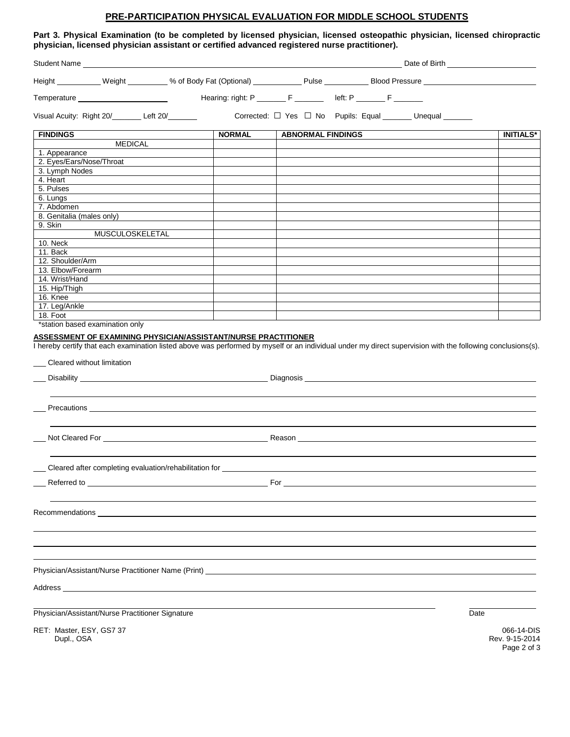### **PRE-PARTICIPATION PHYSICAL EVALUATION FOR MIDDLE SCHOOL STUDENTS**

**Part 3. Physical Examination (to be completed by licensed physician, licensed osteopathic physician, licensed chiropractic physician, licensed physician assistant or certified advanced registered nurse practitioner).**

|                                                        |                                                                                                                                                                                                                                | Height ___________ Weight __________ % of Body Fat (Optional) ____________ Pulse ___________ Blood Pressure ____________                                    |                              |
|--------------------------------------------------------|--------------------------------------------------------------------------------------------------------------------------------------------------------------------------------------------------------------------------------|-------------------------------------------------------------------------------------------------------------------------------------------------------------|------------------------------|
|                                                        |                                                                                                                                                                                                                                | Hearing: right: P ________ F ________ left: P _______ F _______                                                                                             |                              |
| Visual Acuity: Right 20/________ Left 20/_______       |                                                                                                                                                                                                                                | Corrected: □ Yes □ No Pupils: Equal ______ Unequal ______                                                                                                   |                              |
| <b>FINDINGS</b>                                        | <b>NORMAL</b>                                                                                                                                                                                                                  | <b>ABNORMAL FINDINGS</b>                                                                                                                                    | <b>INITIALS*</b>             |
| <b>MEDICAL</b>                                         |                                                                                                                                                                                                                                |                                                                                                                                                             |                              |
| 1. Appearance                                          |                                                                                                                                                                                                                                |                                                                                                                                                             |                              |
| 2. Eyes/Ears/Nose/Throat                               |                                                                                                                                                                                                                                |                                                                                                                                                             |                              |
| 3. Lymph Nodes<br>4. Heart                             |                                                                                                                                                                                                                                |                                                                                                                                                             |                              |
| 5. Pulses                                              |                                                                                                                                                                                                                                |                                                                                                                                                             |                              |
| 6. Lungs                                               |                                                                                                                                                                                                                                |                                                                                                                                                             |                              |
| 7. Abdomen                                             |                                                                                                                                                                                                                                |                                                                                                                                                             |                              |
| 8. Genitalia (males only)                              |                                                                                                                                                                                                                                |                                                                                                                                                             |                              |
| 9. Skin                                                |                                                                                                                                                                                                                                |                                                                                                                                                             |                              |
| MUSCULOSKELETAL                                        |                                                                                                                                                                                                                                |                                                                                                                                                             |                              |
| 10. Neck                                               |                                                                                                                                                                                                                                |                                                                                                                                                             |                              |
| 11. Back                                               |                                                                                                                                                                                                                                |                                                                                                                                                             |                              |
| 12. Shoulder/Arm                                       |                                                                                                                                                                                                                                |                                                                                                                                                             |                              |
| 13. Elbow/Forearm                                      |                                                                                                                                                                                                                                |                                                                                                                                                             |                              |
| 14. Wrist/Hand                                         |                                                                                                                                                                                                                                |                                                                                                                                                             |                              |
| 15. Hip/Thigh<br>16. Knee                              |                                                                                                                                                                                                                                |                                                                                                                                                             |                              |
| 17. Leg/Ankle                                          |                                                                                                                                                                                                                                |                                                                                                                                                             |                              |
| 18. Foot                                               |                                                                                                                                                                                                                                |                                                                                                                                                             |                              |
| *station based examination only                        |                                                                                                                                                                                                                                |                                                                                                                                                             |                              |
|                                                        | ASSESSMENT OF EXAMINING PHYSICIAN/ASSISTANT/NURSE PRACTITIONER                                                                                                                                                                 |                                                                                                                                                             |                              |
|                                                        |                                                                                                                                                                                                                                | I hereby certify that each examination listed above was performed by myself or an individual under my direct supervision with the following conclusions(s). |                              |
|                                                        |                                                                                                                                                                                                                                |                                                                                                                                                             |                              |
| __ Cleared without limitation                          |                                                                                                                                                                                                                                |                                                                                                                                                             |                              |
|                                                        |                                                                                                                                                                                                                                |                                                                                                                                                             |                              |
|                                                        |                                                                                                                                                                                                                                |                                                                                                                                                             |                              |
|                                                        | Precautions <b>Example 2018 Contract 2018 Contract 2018 Contract 2018</b>                                                                                                                                                      |                                                                                                                                                             |                              |
|                                                        |                                                                                                                                                                                                                                |                                                                                                                                                             |                              |
|                                                        |                                                                                                                                                                                                                                |                                                                                                                                                             |                              |
|                                                        |                                                                                                                                                                                                                                |                                                                                                                                                             |                              |
| Cleared after completing evaluation/rehabilitation for |                                                                                                                                                                                                                                |                                                                                                                                                             |                              |
|                                                        |                                                                                                                                                                                                                                |                                                                                                                                                             |                              |
|                                                        |                                                                                                                                                                                                                                |                                                                                                                                                             |                              |
|                                                        |                                                                                                                                                                                                                                |                                                                                                                                                             |                              |
|                                                        | Recommendations experience and the state of the state of the state of the state of the state of the state of the state of the state of the state of the state of the state of the state of the state of the state of the state |                                                                                                                                                             |                              |
|                                                        |                                                                                                                                                                                                                                |                                                                                                                                                             |                              |
|                                                        |                                                                                                                                                                                                                                |                                                                                                                                                             |                              |
|                                                        |                                                                                                                                                                                                                                |                                                                                                                                                             |                              |
|                                                        |                                                                                                                                                                                                                                |                                                                                                                                                             |                              |
|                                                        |                                                                                                                                                                                                                                |                                                                                                                                                             |                              |
| Physician/Assistant/Nurse Practitioner Signature       |                                                                                                                                                                                                                                |                                                                                                                                                             | Date                         |
|                                                        |                                                                                                                                                                                                                                |                                                                                                                                                             |                              |
| RET: Master, ESY, GS7 37<br>Dupl., OSA                 |                                                                                                                                                                                                                                |                                                                                                                                                             | 066-14-DIS<br>Rev. 9-15-2014 |

Page 2 of 3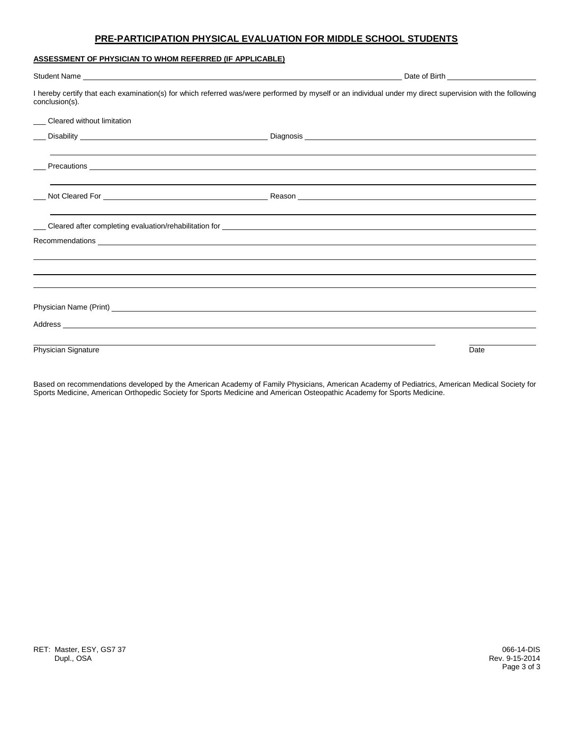### **PRE-PARTICIPATION PHYSICAL EVALUATION FOR MIDDLE SCHOOL STUDENTS**

#### **ASSESSMENT OF PHYSICIAN TO WHOM REFERRED (IF APPLICABLE)**

| Student Name experience and the state of the state of the state of the state of the state of the state of the state of the state of the state of the state of the state of the state of the state of the state of the state of |                                                                                                                                                                                                                                      |
|--------------------------------------------------------------------------------------------------------------------------------------------------------------------------------------------------------------------------------|--------------------------------------------------------------------------------------------------------------------------------------------------------------------------------------------------------------------------------------|
| conclusion(s).                                                                                                                                                                                                                 | I hereby certify that each examination(s) for which referred was/were performed by myself or an individual under my direct supervision with the following                                                                            |
| __ Cleared without limitation                                                                                                                                                                                                  |                                                                                                                                                                                                                                      |
|                                                                                                                                                                                                                                |                                                                                                                                                                                                                                      |
|                                                                                                                                                                                                                                |                                                                                                                                                                                                                                      |
|                                                                                                                                                                                                                                |                                                                                                                                                                                                                                      |
|                                                                                                                                                                                                                                | Cleared after completing evaluation/rehabilitation for <b>contract and contract and contract and contract and contract and contract and contract and contract and contract and contract and contract and contract and contract a</b> |
|                                                                                                                                                                                                                                | Recommendations <b>Example 2018 Contract Contract Contract Contract Contract Contract Contract Contract Contract Contract Contract Contract Contract Contract Contract Contract Contract Contract Contract Contract Contract C</b>   |
|                                                                                                                                                                                                                                |                                                                                                                                                                                                                                      |
|                                                                                                                                                                                                                                |                                                                                                                                                                                                                                      |
|                                                                                                                                                                                                                                |                                                                                                                                                                                                                                      |
|                                                                                                                                                                                                                                |                                                                                                                                                                                                                                      |
| Physician Signature                                                                                                                                                                                                            | Date                                                                                                                                                                                                                                 |

Based on recommendations developed by the American Academy of Family Physicians, American Academy of Pediatrics, American Medical Society for Sports Medicine, American Orthopedic Society for Sports Medicine and American Osteopathic Academy for Sports Medicine.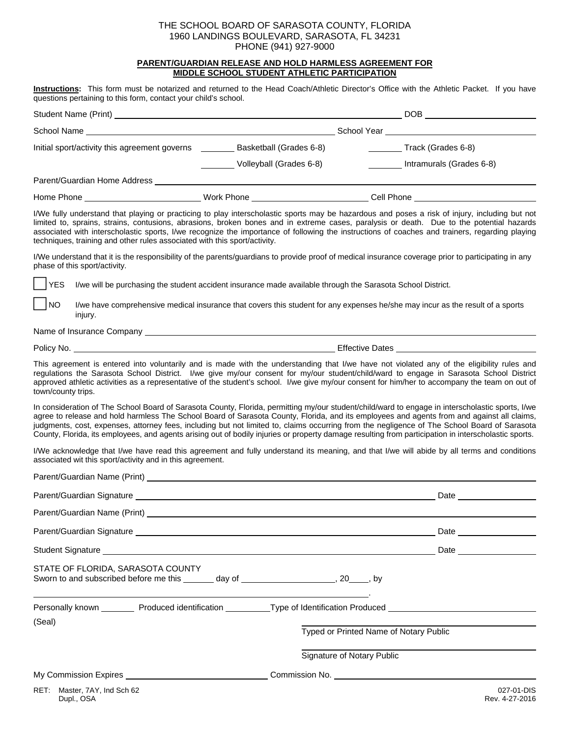#### **PARENT/GUARDIAN RELEASE AND HOLD HARMLESS AGREEMENT FOR MIDDLE SCHOOL STUDENT ATHLETIC PARTICIPATION**

**Instructions:** This form must be notarized and returned to the Head Coach/Athletic Director's Office with the Athletic Packet. If you have questions pertaining to this form, contact your child's school.

|                                               | DOB                                                |                                                |  |
|-----------------------------------------------|----------------------------------------------------|------------------------------------------------|--|
| School Name                                   | School Year                                        |                                                |  |
| Initial sport/activity this agreement governs | Basketball (Grades 6-8)<br>Volleyball (Grades 6-8) | Track (Grades 6-8)<br>Intramurals (Grades 6-8) |  |
| Parent/Guardian Home Address                  |                                                    |                                                |  |
| Home Phone                                    | Work Phone                                         | Cell Phone                                     |  |

I/We fully understand that playing or practicing to play interscholastic sports may be hazardous and poses a risk of injury, including but not limited to, sprains, strains, contusions, abrasions, broken bones and in extreme cases, paralysis or death. Due to the potential hazards associated with interscholastic sports, I/we recognize the importance of following the instructions of coaches and trainers, regarding playing techniques, training and other rules associated with this sport/activity.

I/We understand that it is the responsibility of the parents/guardians to provide proof of medical insurance coverage prior to participating in any phase of this sport/activity.

YES I/we will be purchasing the student accident insurance made available through the Sarasota School District.

NO I/we have comprehensive medical insurance that covers this student for any expenses he/she may incur as the result of a sports injury.

Name of Insurance Company

Policy No. **Effective Dates** 

This agreement is entered into voluntarily and is made with the understanding that I/we have not violated any of the eligibility rules and regulations the Sarasota School District. I/we give my/our consent for my/our student/child/ward to engage in Sarasota School District approved athletic activities as a representative of the student's school. I/we give my/our consent for him/her to accompany the team on out of town/county trips.

In consideration of The School Board of Sarasota County, Florida, permitting my/our student/child/ward to engage in interscholastic sports, I/we agree to release and hold harmless The School Board of Sarasota County, Florida, and its employees and agents from and against all claims, judgments, cost, expenses, attorney fees, including but not limited to, claims occurring from the negligence of The School Board of Sarasota County, Florida, its employees, and agents arising out of bodily injuries or property damage resulting from participation in interscholastic sports.

I/We acknowledge that I/we have read this agreement and fully understand its meaning, and that I/we will abide by all terms and conditions associated wit this sport/activity and in this agreement.

|                                   |  | Student Signature Lawrence and Control and Control and Control and Control and Control and Control and Control and Control and Control and Control and Control and Control and Control and Control and Control and Control and |            |
|-----------------------------------|--|--------------------------------------------------------------------------------------------------------------------------------------------------------------------------------------------------------------------------------|------------|
| STATE OF FLORIDA, SARASOTA COUNTY |  | Sworn to and subscribed before me this _______ day of _________________________, 20_____, by                                                                                                                                   |            |
|                                   |  | Personally known __________ Produced identification __________Type of Identification Produced ___________________                                                                                                              |            |
| (Seal)                            |  | Typed or Printed Name of Notary Public                                                                                                                                                                                         |            |
|                                   |  | Signature of Notary Public                                                                                                                                                                                                     |            |
|                                   |  |                                                                                                                                                                                                                                |            |
| RET: Master, 7AY, Ind Sch 62      |  |                                                                                                                                                                                                                                | 027-01-DIS |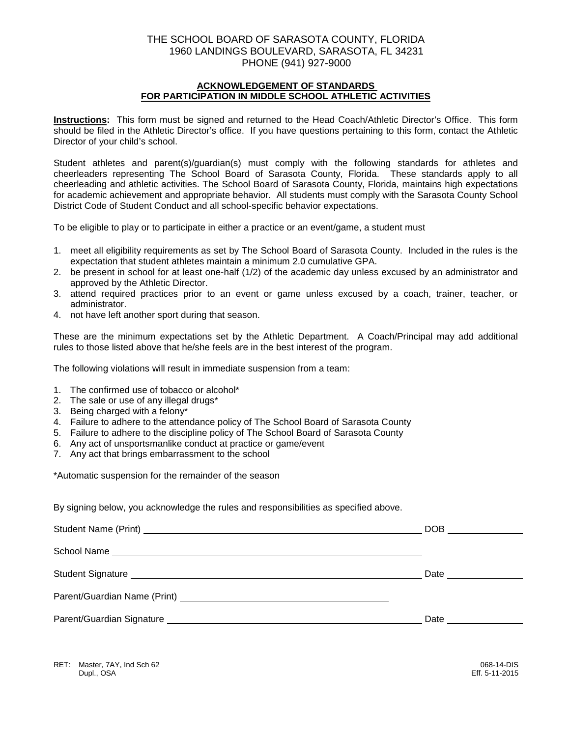### **ACKNOWLEDGEMENT OF STANDARDS FOR PARTICIPATION IN MIDDLE SCHOOL ATHLETIC ACTIVITIES**

**Instructions:** This form must be signed and returned to the Head Coach/Athletic Director's Office. This form should be filed in the Athletic Director's office. If you have questions pertaining to this form, contact the Athletic Director of your child's school.

Student athletes and parent(s)/guardian(s) must comply with the following standards for athletes and cheerleaders representing The School Board of Sarasota County, Florida. These standards apply to all cheerleading and athletic activities. The School Board of Sarasota County, Florida, maintains high expectations for academic achievement and appropriate behavior. All students must comply with the Sarasota County School District Code of Student Conduct and all school-specific behavior expectations.

To be eligible to play or to participate in either a practice or an event/game, a student must

- 1. meet all eligibility requirements as set by The School Board of Sarasota County. Included in the rules is the expectation that student athletes maintain a minimum 2.0 cumulative GPA.
- 2. be present in school for at least one-half (1/2) of the academic day unless excused by an administrator and approved by the Athletic Director.
- 3. attend required practices prior to an event or game unless excused by a coach, trainer, teacher, or administrator.
- 4. not have left another sport during that season.

These are the minimum expectations set by the Athletic Department. A Coach/Principal may add additional rules to those listed above that he/she feels are in the best interest of the program.

The following violations will result in immediate suspension from a team:

- 1. The confirmed use of tobacco or alcohol\*
- 2. The sale or use of any illegal drugs\*
- 3. Being charged with a felony\*
- 4. Failure to adhere to the attendance policy of The School Board of Sarasota County
- 5. Failure to adhere to the discipline policy of The School Board of Sarasota County
- 6. Any act of unsportsmanlike conduct at practice or game/event
- 7. Any act that brings embarrassment to the school

\*Automatic suspension for the remainder of the season

By signing below, you acknowledge the rules and responsibilities as specified above.

| DOB ____________   |
|--------------------|
|                    |
| Date _____________ |
|                    |
|                    |

RET: Master, 7AY, Ind Sch 62 068-14-DIS<br>Dupl., OSA 02: Dupl., OSA Dupl., OSA Eff. 5-11-2015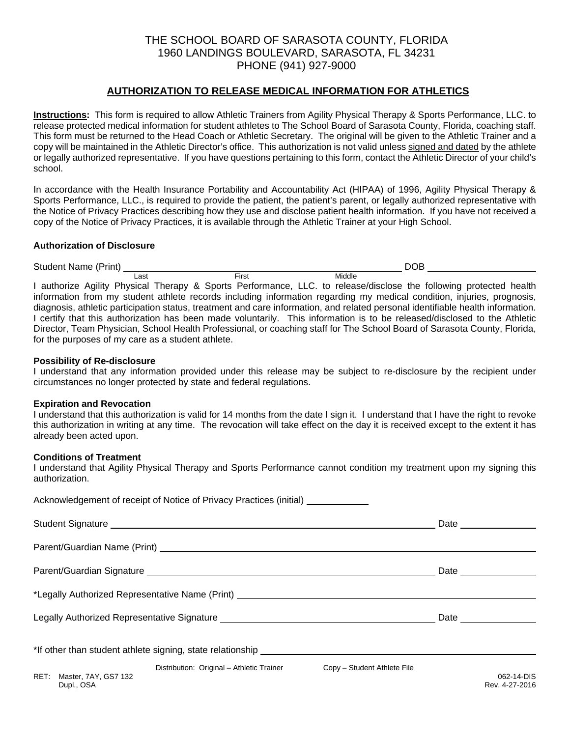## **AUTHORIZATION TO RELEASE MEDICAL INFORMATION FOR ATHLETICS**

**Instructions:** This form is required to allow Athletic Trainers from Agility Physical Therapy & Sports Performance, LLC. to release protected medical information for student athletes to The School Board of Sarasota County, Florida, coaching staff. This form must be returned to the Head Coach or Athletic Secretary. The original will be given to the Athletic Trainer and a copy will be maintained in the Athletic Director's office. This authorization is not valid unless signed and dated by the athlete or legally authorized representative. If you have questions pertaining to this form, contact the Athletic Director of your child's school.

In accordance with the Health Insurance Portability and Accountability Act (HIPAA) of 1996, Agility Physical Therapy & Sports Performance, LLC., is required to provide the patient, the patient's parent, or legally authorized representative with the Notice of Privacy Practices describing how they use and disclose patient health information. If you have not received a copy of the Notice of Privacy Practices, it is available through the Athletic Trainer at your High School.

### **Authorization of Disclosure**

Student Name (Print) DOB **Last Eirst** Middle I authorize Agility Physical Therapy & Sports Performance, LLC. to release/disclose the following protected health information from my student athlete records including information regarding my medical condition, injuries, prognosis, diagnosis, athletic participation status, treatment and care information, and related personal identifiable health information. I certify that this authorization has been made voluntarily. This information is to be released/disclosed to the Athletic Director, Team Physician, School Health Professional, or coaching staff for The School Board of Sarasota County, Florida, for the purposes of my care as a student athlete.

### **Possibility of Re-disclosure**

I understand that any information provided under this release may be subject to re-disclosure by the recipient under circumstances no longer protected by state and federal regulations.

#### **Expiration and Revocation**

I understand that this authorization is valid for 14 months from the date I sign it. I understand that I have the right to revoke this authorization in writing at any time. The revocation will take effect on the day it is received except to the extent it has already been acted upon.

### **Conditions of Treatment**

I understand that Agility Physical Therapy and Sports Performance cannot condition my treatment upon my signing this authorization.

|                                         | Acknowledgement of receipt of Notice of Privacy Practices (initial) ____________                                                                                                                                              |  |                                                                                                                                                                                                                                     |
|-----------------------------------------|-------------------------------------------------------------------------------------------------------------------------------------------------------------------------------------------------------------------------------|--|-------------------------------------------------------------------------------------------------------------------------------------------------------------------------------------------------------------------------------------|
|                                         |                                                                                                                                                                                                                               |  | Date _______________                                                                                                                                                                                                                |
|                                         |                                                                                                                                                                                                                               |  |                                                                                                                                                                                                                                     |
|                                         |                                                                                                                                                                                                                               |  |                                                                                                                                                                                                                                     |
|                                         | *Legally Authorized Representative Name (Print) ________________________________                                                                                                                                              |  |                                                                                                                                                                                                                                     |
|                                         | Legally Authorized Representative Signature Legally Authorization and Changes and Changes and Changes and Changes and Changes and Changes and Changes and Changes and Changes and Changes and Changes and Changes and Changes |  | Date <u>and</u> the state of the state of the state of the state of the state of the state of the state of the state of the state of the state of the state of the state of the state of the state of the state of the state of the |
|                                         |                                                                                                                                                                                                                               |  |                                                                                                                                                                                                                                     |
| RET: Master, 7AY, GS7 132<br>Dupl., OSA | Distribution: Original - Athletic Trainer Copy - Student Athlete File                                                                                                                                                         |  | 062-14-DIS<br>Rev. 4-27-2016                                                                                                                                                                                                        |